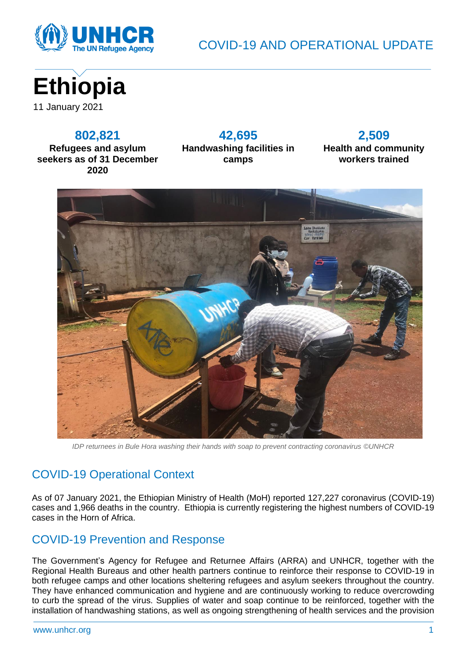

COVID-19 AND OPERATIONAL UPDATE



#### **802,821**

**Refugees and asylum seekers as of 31 December 2020**

**42,695 Handwashing facilities in camps**

#### **2,509 Health and community workers trained**



*IDP returnees in Bule Hora washing their hands with soap to prevent contracting coronavirus ©UNHCR*

# COVID-19 Operational Context

As of 07 January 2021, the Ethiopian Ministry of Health (MoH) reported 127,227 coronavirus (COVID-19) cases and 1,966 deaths in the country. Ethiopia is currently registering the highest numbers of COVID-19 cases in the Horn of Africa.

## COVID-19 Prevention and Response

The Government's Agency for Refugee and Returnee Affairs (ARRA) and UNHCR, together with the Regional Health Bureaus and other health partners continue to reinforce their response to COVID-19 in both refugee camps and other locations sheltering refugees and asylum seekers throughout the country. They have enhanced communication and hygiene and are continuously working to reduce overcrowding to curb the spread of the virus. Supplies of water and soap continue to be reinforced, together with the installation of handwashing stations, as well as ongoing strengthening of health services and the provision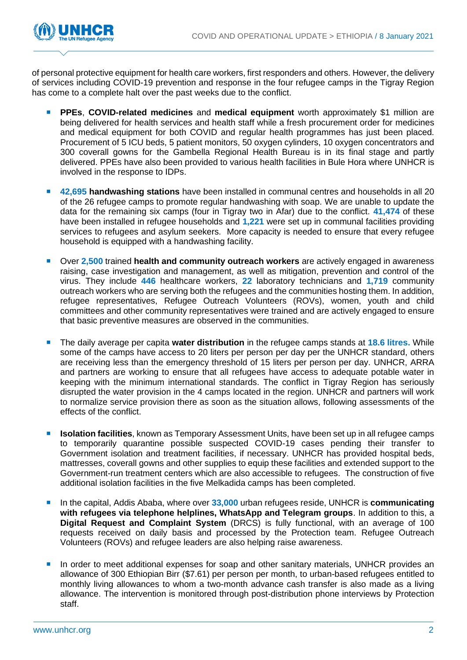

of personal protective equipment for health care workers, first responders and others. However, the delivery of services including COVID-19 prevention and response in the four refugee camps in the Tigray Region has come to a complete halt over the past weeks due to the conflict.

- **PPEs**, **COVID-related medicines** and **medical equipment** worth approximately \$1 million are being delivered for health services and health staff while a fresh procurement order for medicines and medical equipment for both COVID and regular health programmes has just been placed. Procurement of 5 ICU beds, 5 patient monitors, 50 oxygen cylinders, 10 oxygen concentrators and 300 coverall gowns for the Gambella Regional Health Bureau is in its final stage and partly delivered. PPEs have also been provided to various health facilities in Bule Hora where UNHCR is involved in the response to IDPs.
- **42,695 handwashing stations** have been installed in communal centres and households in all 20 of the 26 refugee camps to promote regular handwashing with soap. We are unable to update the data for the remaining six camps (four in Tigray two in Afar) due to the conflict. **41,474** of these have been installed in refugee households and **1,221** were set up in communal facilities providing services to refugees and asylum seekers. More capacity is needed to ensure that every refugee household is equipped with a handwashing facility.
- Over 2,500 trained **health and community outreach workers** are actively engaged in awareness raising, case investigation and management, as well as mitigation, prevention and control of the virus. They include **446** healthcare workers, **22** laboratory technicians and **1,719** community outreach workers who are serving both the refugees and the communities hosting them. In addition, refugee representatives, Refugee Outreach Volunteers (ROVs), women, youth and child committees and other community representatives were trained and are actively engaged to ensure that basic preventive measures are observed in the communities.
- The daily average per capita **water distribution** in the refugee camps stands at **18.6 litres.** While some of the camps have access to 20 liters per person per day per the UNHCR standard, others are receiving less than the emergency threshold of 15 liters per person per day. UNHCR, ARRA and partners are working to ensure that all refugees have access to adequate potable water in keeping with the minimum international standards. The conflict in Tigray Region has seriously disrupted the water provision in the 4 camps located in the region. UNHCR and partners will work to normalize service provision there as soon as the situation allows, following assessments of the effects of the conflict.
- **ISolation facilities**, known as Temporary Assessment Units, have been set up in all refugee camps to temporarily quarantine possible suspected COVID-19 cases pending their transfer to Government isolation and treatment facilities, if necessary. UNHCR has provided hospital beds, mattresses, coverall gowns and other supplies to equip these facilities and extended support to the Government-run treatment centers which are also accessible to refugees. The construction of five additional isolation facilities in the five Melkadida camps has been completed.
- In the capital, Addis Ababa, where over 33,000 urban refugees reside, UNHCR is **communicating with refugees via telephone helplines, WhatsApp and Telegram groups**. In addition to this, a **Digital Request and Complaint System** (DRCS) is fully functional, with an average of 100 requests received on daily basis and processed by the Protection team. Refugee Outreach Volunteers (ROVs) and refugee leaders are also helping raise awareness.
- In order to meet additional expenses for soap and other sanitary materials, UNHCR provides an allowance of 300 Ethiopian Birr (\$7.61) per person per month, to urban-based refugees entitled to monthly living allowances to whom a two-month advance cash transfer is also made as a living allowance. The intervention is monitored through post-distribution phone interviews by Protection staff.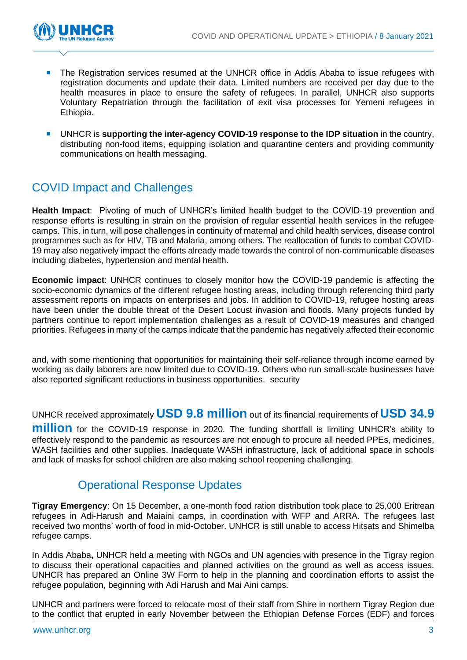

- The Registration services resumed at the UNHCR office in Addis Ababa to issue refugees with registration documents and update their data. Limited numbers are received per day due to the health measures in place to ensure the safety of refugees. In parallel, UNHCR also supports Voluntary Repatriation through the facilitation of exit visa processes for Yemeni refugees in Ethiopia.
- UNHCR is **supporting the inter-agency COVID-19 response to the IDP situation** in the country, distributing non-food items, equipping isolation and quarantine centers and providing community communications on health messaging.

## COVID Impact and Challenges

**Health Impact**: Pivoting of much of UNHCR's limited health budget to the COVID-19 prevention and response efforts is resulting in strain on the provision of regular essential health services in the refugee camps. This, in turn, will pose challenges in continuity of maternal and child health services, disease control programmes such as for HIV, TB and Malaria, among others. The reallocation of funds to combat COVID-19 may also negatively impact the efforts already made towards the control of non-communicable diseases including diabetes, hypertension and mental health.

**Economic impact**: UNHCR continues to closely monitor how the COVID-19 pandemic is affecting the socio-economic dynamics of the different refugee hosting areas, including through referencing third party assessment reports on impacts on enterprises and jobs. In addition to COVID-19, refugee hosting areas have been under the double threat of the Desert Locust invasion and floods. Many projects funded by partners continue to report implementation challenges as a result of COVID-19 measures and changed priorities. Refugees in many of the camps indicate that the pandemic has negatively affected their economic

and, with some mentioning that opportunities for maintaining their self-reliance through income earned by working as daily laborers are now limited due to COVID-19. Others who run small-scale businesses have also reported significant reductions in business opportunities. security

UNHCR received approximately **USD 9.8 million** out of its financial requirements of **USD 34.9**

**million** for the COVID-19 response in 2020. The funding shortfall is limiting UNHCR's ability to effectively respond to the pandemic as resources are not enough to procure all needed PPEs, medicines, WASH facilities and other supplies. Inadequate WASH infrastructure, lack of additional space in schools and lack of masks for school children are also making school reopening challenging.

## Operational Response Updates

**Tigray Emergency**: On 15 December, a one-month food ration distribution took place to 25,000 Eritrean refugees in Adi-Harush and Maiaini camps, in coordination with WFP and ARRA. The refugees last received two months' worth of food in mid-October. UNHCR is still unable to access Hitsats and Shimelba refugee camps.

In Addis Ababa**,** UNHCR held a meeting with NGOs and UN agencies with presence in the Tigray region to discuss their operational capacities and planned activities on the ground as well as access issues. UNHCR has prepared an Online 3W Form to help in the planning and coordination efforts to assist the refugee population, beginning with Adi Harush and Mai Aini camps.

UNHCR and partners were forced to relocate most of their staff from Shire in northern Tigray Region due to the conflict that erupted in early November between the Ethiopian Defense Forces (EDF) and forces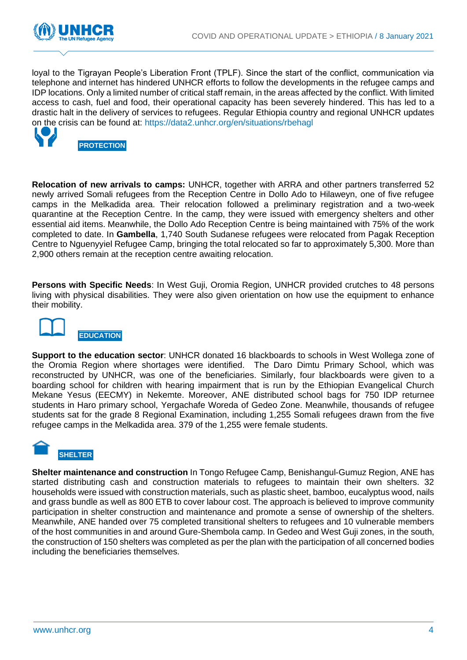

loyal to the Tigrayan People's Liberation Front (TPLF). Since the start of the conflict, communication via telephone and internet has hindered UNHCR efforts to follow the developments in the refugee camps and IDP locations. Only a limited number of critical staff remain, in the areas affected by the conflict. With limited access to cash, fuel and food, their operational capacity has been severely hindered. This has led to a drastic halt in the delivery of services to refugees. Regular Ethiopia country and regional UNHCR updates on the crisis can be found at:<https://data2.unhcr.org/en/situations/rbehagl>



**PROTECTION**

**Relocation of new arrivals to camps:** UNHCR, together with ARRA and other partners transferred 52 newly arrived Somali refugees from the Reception Centre in Dollo Ado to Hilaweyn, one of five refugee camps in the Melkadida area. Their relocation followed a preliminary registration and a two-week quarantine at the Reception Centre. In the camp, they were issued with emergency shelters and other essential aid items. Meanwhile, the Dollo Ado Reception Centre is being maintained with 75% of the work completed to date. In **Gambella**, 1,740 South Sudanese refugees were relocated from Pagak Reception Centre to Nguenyyiel Refugee Camp, bringing the total relocated so far to approximately 5,300. More than 2,900 others remain at the reception centre awaiting relocation.

**Persons with Specific Needs**: In West Guji, Oromia Region, UNHCR provided crutches to 48 persons living with physical disabilities. They were also given orientation on how use the equipment to enhance their mobility.



**Support to the education sector**: UNHCR donated 16 blackboards to schools in West Wollega zone of the Oromia Region where shortages were identified. The Daro Dimtu Primary School, which was reconstructed by UNHCR, was one of the beneficiaries. Similarly, four blackboards were given to a boarding school for children with hearing impairment that is run by the Ethiopian Evangelical Church Mekane Yesus (EECMY) in Nekemte. Moreover, ANE distributed school bags for 750 IDP returnee students in Haro primary school, Yergachafe Woreda of Gedeo Zone. Meanwhile, thousands of refugee students sat for the grade 8 Regional Examination, including 1,255 Somali refugees drawn from the five refugee camps in the Melkadida area. 379 of the 1,255 were female students.



**Shelter maintenance and construction** In Tongo Refugee Camp, Benishangul-Gumuz Region, ANE has started distributing cash and construction materials to refugees to maintain their own shelters. 32 households were issued with construction materials, such as plastic sheet, bamboo, eucalyptus wood, nails and grass bundle as well as 800 ETB to cover labour cost. The approach is believed to improve community participation in shelter construction and maintenance and promote a sense of ownership of the shelters. Meanwhile, ANE handed over 75 completed transitional shelters to refugees and 10 vulnerable members of the host communities in and around Gure-Shembola camp. In Gedeo and West Guji zones, in the south, the construction of 150 shelters was completed as per the plan with the participation of all concerned bodies including the beneficiaries themselves.